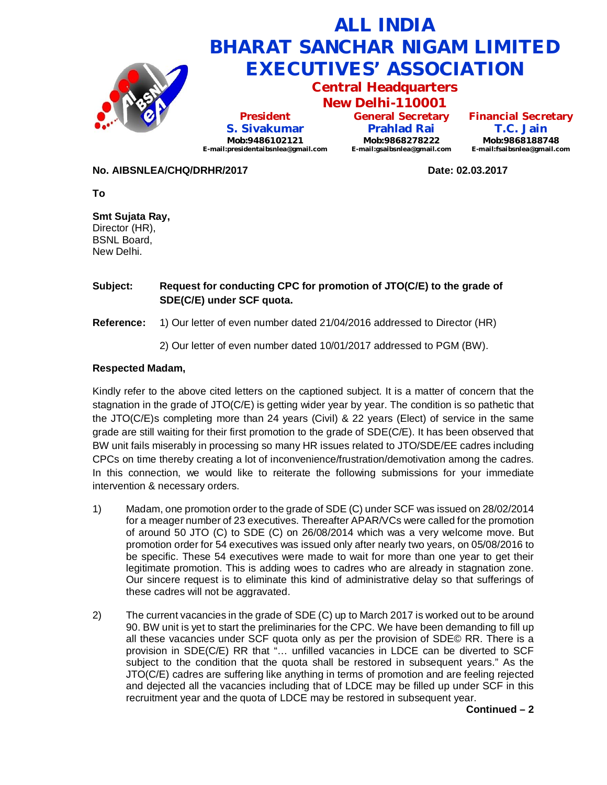

**No. AIBSNLEA/CHQ/DRHR/2017 Date: 02.03.2017**

**To**

**Smt Sujata Ray,** Director (HR), BSNL Board, New Delhi.

## **Subject: Request for conducting CPC for promotion of JTO(C/E) to the grade of SDE(C/E) under SCF quota.**

**Reference:** 1) Our letter of even number dated 21/04/2016 addressed to Director (HR)

2) Our letter of even number dated 10/01/2017 addressed to PGM (BW).

## **Respected Madam,**

Kindly refer to the above cited letters on the captioned subject. It is a matter of concern that the stagnation in the grade of JTO(C/E) is getting wider year by year. The condition is so pathetic that the JTO(C/E)s completing more than 24 years (Civil) & 22 years (Elect) of service in the same grade are still waiting for their first promotion to the grade of SDE(C/E). It has been observed that BW unit fails miserably in processing so many HR issues related to JTO/SDE/EE cadres including CPCs on time thereby creating a lot of inconvenience/frustration/demotivation among the cadres. In this connection, we would like to reiterate the following submissions for your immediate intervention & necessary orders.

- 1) Madam, one promotion order to the grade of SDE (C) under SCF was issued on 28/02/2014 for a meager number of 23 executives. Thereafter APAR/VCs were called for the promotion of around 50 JTO (C) to SDE (C) on 26/08/2014 which was a very welcome move. But promotion order for 54 executives was issued only after nearly two years, on 05/08/2016 to be specific. These 54 executives were made to wait for more than one year to get their legitimate promotion. This is adding woes to cadres who are already in stagnation zone. Our sincere request is to eliminate this kind of administrative delay so that sufferings of these cadres will not be aggravated.
- 2) The current vacancies in the grade of SDE (C) up to March 2017 is worked out to be around 90. BW unit is yet to start the preliminaries for the CPC. We have been demanding to fill up all these vacancies under SCF quota only as per the provision of SDE© RR. There is a provision in SDE(C/E) RR that "… unfilled vacancies in LDCE can be diverted to SCF subject to the condition that the quota shall be restored in subsequent years." As the JTO(C/E) cadres are suffering like anything in terms of promotion and are feeling rejected and dejected all the vacancies including that of LDCE may be filled up under SCF in this recruitment year and the quota of LDCE may be restored in subsequent year.

**Continued – 2**